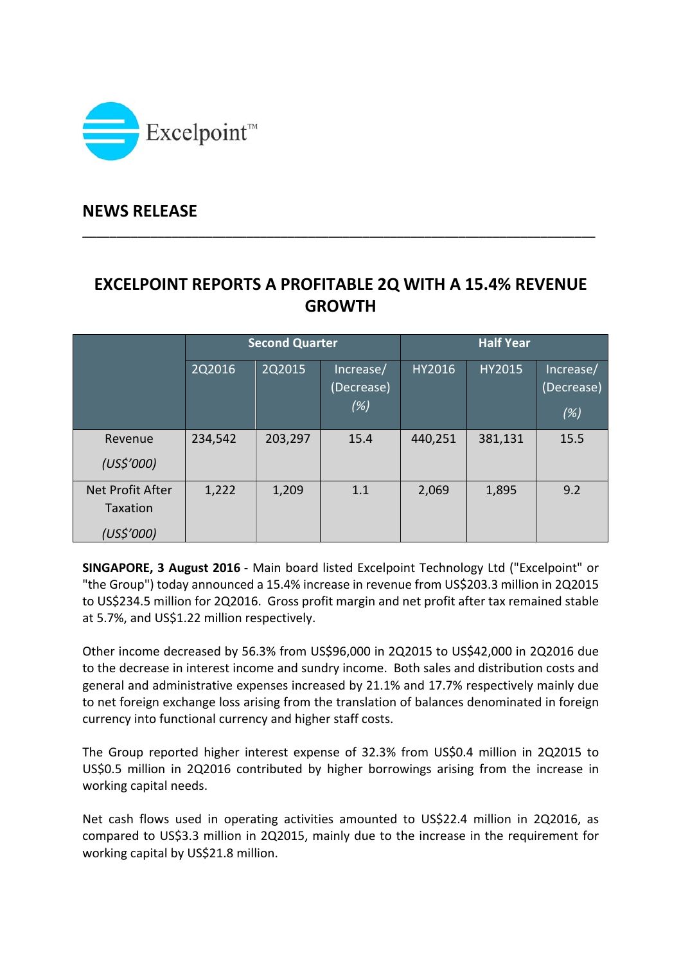

## **NEWS RELEASE**

## **EXCELPOINT REPORTS A PROFITABLE 2Q WITH A 15.4% REVENUE GROWTH**

\_\_\_\_\_\_\_\_\_\_\_\_\_\_\_\_\_\_\_\_\_\_\_\_\_\_\_\_\_\_\_\_\_\_\_\_\_\_\_\_\_\_\_\_\_\_\_\_\_\_\_\_\_\_\_\_\_\_\_\_\_\_\_\_\_\_\_\_\_\_\_\_\_\_\_

|                                            | <b>Second Quarter</b> |         |                                | <b>Half Year</b> |         |                                |
|--------------------------------------------|-----------------------|---------|--------------------------------|------------------|---------|--------------------------------|
|                                            | 2Q2016                | 2Q2015  | Increase/<br>(Decrease)<br>(%) | HY2016           | HY2015  | Increase/<br>(Decrease)<br>(%) |
| Revenue<br>(US\$'000)                      | 234,542               | 203,297 | 15.4                           | 440,251          | 381,131 | 15.5                           |
| Net Profit After<br>Taxation<br>(US\$'000) | 1,222                 | 1,209   | 1.1                            | 2,069            | 1,895   | 9.2                            |

**SINGAPORE, 3 August 2016** ‐ Main board listed Excelpoint Technology Ltd ("Excelpoint" or "the Group") today announced a 15.4% increase in revenue from US\$203.3 million in 2Q2015 to US\$234.5 million for 2Q2016. Gross profit margin and net profit after tax remained stable at 5.7%, and US\$1.22 million respectively.

Other income decreased by 56.3% from US\$96,000 in 2Q2015 to US\$42,000 in 2Q2016 due to the decrease in interest income and sundry income. Both sales and distribution costs and general and administrative expenses increased by 21.1% and 17.7% respectively mainly due to net foreign exchange loss arising from the translation of balances denominated in foreign currency into functional currency and higher staff costs.

The Group reported higher interest expense of 32.3% from US\$0.4 million in 2Q2015 to US\$0.5 million in 2Q2016 contributed by higher borrowings arising from the increase in working capital needs.

Net cash flows used in operating activities amounted to US\$22.4 million in 2Q2016, as compared to US\$3.3 million in 2Q2015, mainly due to the increase in the requirement for working capital by US\$21.8 million.